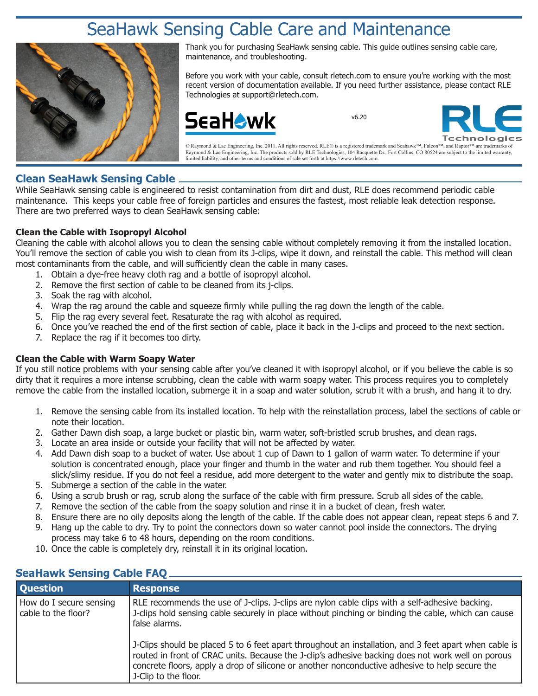# SeaHawk Sensing Cable Care and Maintenance



Thank you for purchasing SeaHawk sensing cable. This guide outlines sensing cable care, maintenance, and troubleshooting.

Before you work with your cable, consult rletech.com to ensure you're working with the most recent version of documentation available. If you need further assistance, please contact RLE Technologies at support@rletech.com.



v6.20



© Raymond & Lae Engineering, Inc. 2011. All rights reserved. RLE® is a registered trademark and Seahawk™, Falcon™, and Raptor™ are trademarks of Raymond & Lae Engineering, Inc. The products sold by RLE Technologies, 104 Racquette Dr., Fort Collins, CO 80524 are subject to the limited warranty, limited liability, and other terms and conditions of sale set forth at https://www.rletech.com.

## **Clean SeaHawk Sensing Cable**

While SeaHawk sensing cable is engineered to resist contamination from dirt and dust, RLE does recommend periodic cable maintenance. This keeps your cable free of foreign particles and ensures the fastest, most reliable leak detection response. There are two preferred ways to clean SeaHawk sensing cable:

### **Clean the Cable with Isopropyl Alcohol**

Cleaning the cable with alcohol allows you to clean the sensing cable without completely removing it from the installed location. You'll remove the section of cable you wish to clean from its J-clips, wipe it down, and reinstall the cable. This method will clean most contaminants from the cable, and will sufficiently clean the cable in many cases.

- 1. Obtain a dye-free heavy cloth rag and a bottle of isopropyl alcohol.
- 2. Remove the first section of cable to be cleaned from its j-clips.
- 3. Soak the rag with alcohol.
- 4. Wrap the rag around the cable and squeeze firmly while pulling the rag down the length of the cable.
- 5. Flip the rag every several feet. Resaturate the rag with alcohol as required.
- 6. Once you've reached the end of the first section of cable, place it back in the J-clips and proceed to the next section.
- 7. Replace the rag if it becomes too dirty.

#### **Clean the Cable with Warm Soapy Water**

If you still notice problems with your sensing cable after you've cleaned it with isopropyl alcohol, or if you believe the cable is so dirty that it requires a more intense scrubbing, clean the cable with warm soapy water. This process requires you to completely remove the cable from the installed location, submerge it in a soap and water solution, scrub it with a brush, and hang it to dry.

- 1. Remove the sensing cable from its installed location. To help with the reinstallation process, label the sections of cable or note their location.
- 2. Gather Dawn dish soap, a large bucket or plastic bin, warm water, soft-bristled scrub brushes, and clean rags.
- 3. Locate an area inside or outside your facility that will not be affected by water.
- 4. Add Dawn dish soap to a bucket of water. Use about 1 cup of Dawn to 1 gallon of warm water. To determine if your solution is concentrated enough, place your finger and thumb in the water and rub them together. You should feel a slick/slimy residue. If you do not feel a residue, add more detergent to the water and gently mix to distribute the soap.
- 5. Submerge a section of the cable in the water.
- 6. Using a scrub brush or rag, scrub along the surface of the cable with firm pressure. Scrub all sides of the cable.
- 7. Remove the section of the cable from the soapy solution and rinse it in a bucket of clean, fresh water.
- 8. Ensure there are no oily deposits along the length of the cable. If the cable does not appear clean, repeat steps 6 and 7.
- 9. Hang up the cable to dry. Try to point the connectors down so water cannot pool inside the connectors. The drying process may take 6 to 48 hours, depending on the room conditions.
- 10. Once the cable is completely dry, reinstall it in its original location.

| SeaHawk Sensing Cable FAQ.                     |                                                                                                                                                                                                                                                                                                                                      |
|------------------------------------------------|--------------------------------------------------------------------------------------------------------------------------------------------------------------------------------------------------------------------------------------------------------------------------------------------------------------------------------------|
| <b>Question</b>                                | <b>Response</b>                                                                                                                                                                                                                                                                                                                      |
| How do I secure sensing<br>cable to the floor? | RLE recommends the use of J-clips. J-clips are nylon cable clips with a self-adhesive backing.<br>J-clips hold sensing cable securely in place without pinching or binding the cable, which can cause<br>false alarms.                                                                                                               |
|                                                | ]-Clips should be placed 5 to 6 feet apart throughout an installation, and 3 feet apart when cable is<br>routed in front of CRAC units. Because the J-clip's adhesive backing does not work well on porous<br>concrete floors, apply a drop of silicone or another nonconductive adhesive to help secure the<br>J-Clip to the floor. |

# **SeaHawk Sensing Cable FAQ**